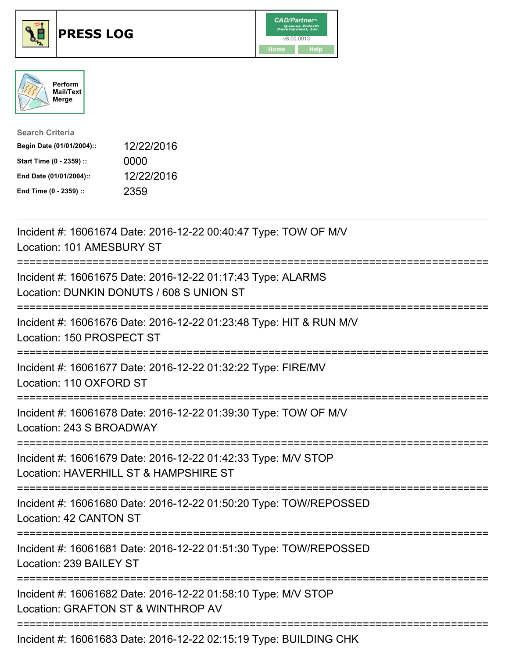





| <b>Search Criteria</b>    |            |
|---------------------------|------------|
| Begin Date (01/01/2004):: | 12/22/2016 |
| Start Time (0 - 2359) ::  | 0000       |
| End Date (01/01/2004)::   | 12/22/2016 |
| End Time (0 - 2359) ::    | 2359       |

| Incident #: 16061674 Date: 2016-12-22 00:40:47 Type: TOW OF M/V<br>Location: 101 AMESBURY ST<br>:==========                              |
|------------------------------------------------------------------------------------------------------------------------------------------|
| Incident #: 16061675 Date: 2016-12-22 01:17:43 Type: ALARMS<br>Location: DUNKIN DONUTS / 608 S UNION ST                                  |
| Incident #: 16061676 Date: 2016-12-22 01:23:48 Type: HIT & RUN M/V<br>Location: 150 PROSPECT ST<br>-------------                         |
| Incident #: 16061677 Date: 2016-12-22 01:32:22 Type: FIRE/MV<br>Location: 110 OXFORD ST                                                  |
| Incident #: 16061678 Date: 2016-12-22 01:39:30 Type: TOW OF M/V<br>Location: 243 S BROADWAY                                              |
| Incident #: 16061679 Date: 2016-12-22 01:42:33 Type: M/V STOP<br>Location: HAVERHILL ST & HAMPSHIRE ST<br>============================== |
| Incident #: 16061680 Date: 2016-12-22 01:50:20 Type: TOW/REPOSSED<br>Location: 42 CANTON ST                                              |
| Incident #: 16061681 Date: 2016-12-22 01:51:30 Type: TOW/REPOSSED<br>Location: 239 BAILEY ST<br>.-------------------------------------   |
| Incident #: 16061682 Date: 2016-12-22 01:58:10 Type: M/V STOP<br>Location: GRAFTON ST & WINTHROP AV                                      |
| Incident #: 16061683 Date: 2016-12-22 02:15:19 Type: BUILDING CHK                                                                        |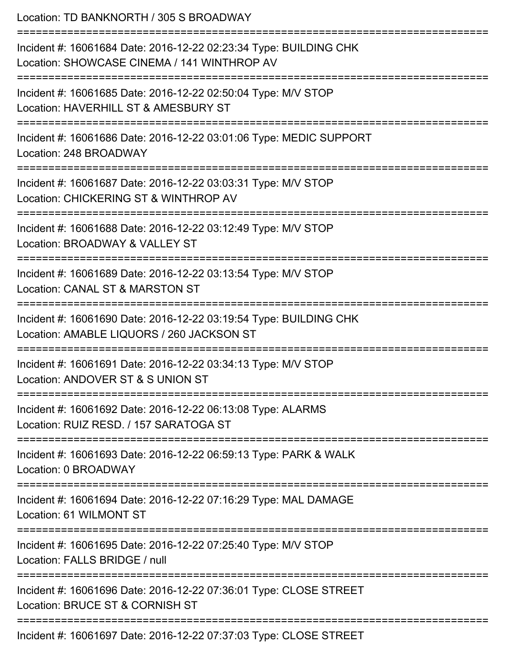| Location: TD BANKNORTH / 305 S BROADWAY<br>==============================<br>----------------------------                                                                                    |
|----------------------------------------------------------------------------------------------------------------------------------------------------------------------------------------------|
| Incident #: 16061684 Date: 2016-12-22 02:23:34 Type: BUILDING CHK<br>Location: SHOWCASE CINEMA / 141 WINTHROP AV<br>==================================<br>================================== |
| Incident #: 16061685 Date: 2016-12-22 02:50:04 Type: M/V STOP<br>Location: HAVERHILL ST & AMESBURY ST                                                                                        |
| Incident #: 16061686 Date: 2016-12-22 03:01:06 Type: MEDIC SUPPORT<br>Location: 248 BROADWAY                                                                                                 |
| Incident #: 16061687 Date: 2016-12-22 03:03:31 Type: M/V STOP<br>Location: CHICKERING ST & WINTHROP AV                                                                                       |
| Incident #: 16061688 Date: 2016-12-22 03:12:49 Type: M/V STOP<br>Location: BROADWAY & VALLEY ST                                                                                              |
| =========================<br>Incident #: 16061689 Date: 2016-12-22 03:13:54 Type: M/V STOP<br>Location: CANAL ST & MARSTON ST                                                                |
| Incident #: 16061690 Date: 2016-12-22 03:19:54 Type: BUILDING CHK<br>Location: AMABLE LIQUORS / 260 JACKSON ST                                                                               |
| Incident #: 16061691 Date: 2016-12-22 03:34:13 Type: M/V STOP<br>Location: ANDOVER ST & S UNION ST                                                                                           |
| Incident #: 16061692 Date: 2016-12-22 06:13:08 Type: ALARMS<br>Location: RUIZ RESD. / 157 SARATOGA ST                                                                                        |
| Incident #: 16061693 Date: 2016-12-22 06:59:13 Type: PARK & WALK<br>Location: 0 BROADWAY                                                                                                     |
| Incident #: 16061694 Date: 2016-12-22 07:16:29 Type: MAL DAMAGE<br>Location: 61 WILMONT ST                                                                                                   |
| Incident #: 16061695 Date: 2016-12-22 07:25:40 Type: M/V STOP<br>Location: FALLS BRIDGE / null                                                                                               |
| Incident #: 16061696 Date: 2016-12-22 07:36:01 Type: CLOSE STREET<br>Location: BRUCE ST & CORNISH ST                                                                                         |
| Incident #: 16061697 Date: 2016-12-22 07:37:03 Type: CLOSE STREET                                                                                                                            |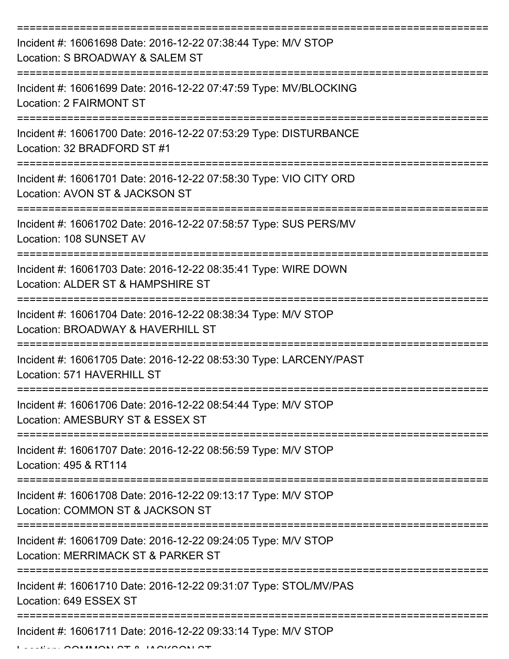| Incident #: 16061698 Date: 2016-12-22 07:38:44 Type: M/V STOP<br>Location: S BROADWAY & SALEM ST    |
|-----------------------------------------------------------------------------------------------------|
| Incident #: 16061699 Date: 2016-12-22 07:47:59 Type: MV/BLOCKING<br><b>Location: 2 FAIRMONT ST</b>  |
| Incident #: 16061700 Date: 2016-12-22 07:53:29 Type: DISTURBANCE<br>Location: 32 BRADFORD ST #1     |
| Incident #: 16061701 Date: 2016-12-22 07:58:30 Type: VIO CITY ORD<br>Location: AVON ST & JACKSON ST |
| Incident #: 16061702 Date: 2016-12-22 07:58:57 Type: SUS PERS/MV<br>Location: 108 SUNSET AV         |
| Incident #: 16061703 Date: 2016-12-22 08:35:41 Type: WIRE DOWN<br>Location: ALDER ST & HAMPSHIRE ST |
| Incident #: 16061704 Date: 2016-12-22 08:38:34 Type: M/V STOP<br>Location: BROADWAY & HAVERHILL ST  |
| Incident #: 16061705 Date: 2016-12-22 08:53:30 Type: LARCENY/PAST<br>Location: 571 HAVERHILL ST     |
| Incident #: 16061706 Date: 2016-12-22 08:54:44 Type: M/V STOP<br>Location: AMESBURY ST & ESSEX ST   |
| Incident #: 16061707 Date: 2016-12-22 08:56:59 Type: M/V STOP<br>Location: 495 & RT114              |
| Incident #: 16061708 Date: 2016-12-22 09:13:17 Type: M/V STOP<br>Location: COMMON ST & JACKSON ST   |
| Incident #: 16061709 Date: 2016-12-22 09:24:05 Type: M/V STOP<br>Location: MERRIMACK ST & PARKER ST |
| Incident #: 16061710 Date: 2016-12-22 09:31:07 Type: STOL/MV/PAS<br>Location: 649 ESSEX ST          |
| Incident #: 16061711 Date: 2016-12-22 09:33:14 Type: M/V STOP                                       |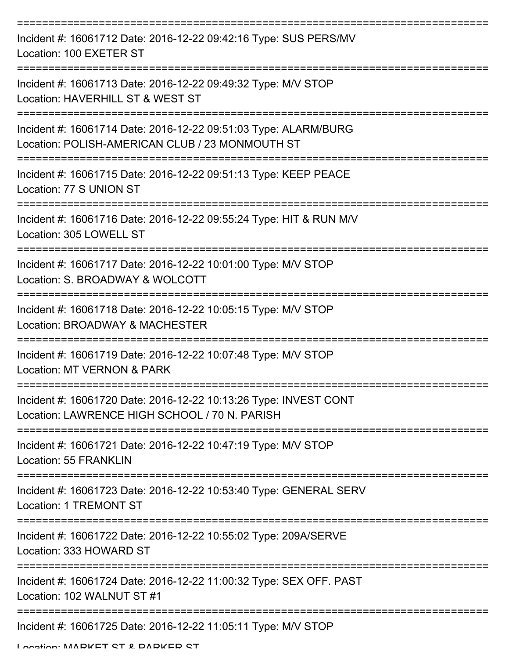| Incident #: 16061712 Date: 2016-12-22 09:42:16 Type: SUS PERS/MV<br>Location: 100 EXETER ST                        |
|--------------------------------------------------------------------------------------------------------------------|
| Incident #: 16061713 Date: 2016-12-22 09:49:32 Type: M/V STOP<br>Location: HAVERHILL ST & WEST ST                  |
| Incident #: 16061714 Date: 2016-12-22 09:51:03 Type: ALARM/BURG<br>Location: POLISH-AMERICAN CLUB / 23 MONMOUTH ST |
| Incident #: 16061715 Date: 2016-12-22 09:51:13 Type: KEEP PEACE<br>Location: 77 S UNION ST                         |
| Incident #: 16061716 Date: 2016-12-22 09:55:24 Type: HIT & RUN M/V<br>Location: 305 LOWELL ST                      |
| Incident #: 16061717 Date: 2016-12-22 10:01:00 Type: M/V STOP<br>Location: S. BROADWAY & WOLCOTT                   |
| Incident #: 16061718 Date: 2016-12-22 10:05:15 Type: M/V STOP<br>Location: BROADWAY & MACHESTER                    |
| Incident #: 16061719 Date: 2016-12-22 10:07:48 Type: M/V STOP<br>Location: MT VERNON & PARK                        |
| Incident #: 16061720 Date: 2016-12-22 10:13:26 Type: INVEST CONT<br>Location: LAWRENCE HIGH SCHOOL / 70 N. PARISH  |
| Incident #: 16061721 Date: 2016-12-22 10:47:19 Type: M/V STOP<br><b>Location: 55 FRANKLIN</b>                      |
| Incident #: 16061723 Date: 2016-12-22 10:53:40 Type: GENERAL SERV<br><b>Location: 1 TREMONT ST</b>                 |
| Incident #: 16061722 Date: 2016-12-22 10:55:02 Type: 209A/SERVE<br>Location: 333 HOWARD ST                         |
| Incident #: 16061724 Date: 2016-12-22 11:00:32 Type: SEX OFF. PAST<br>Location: 102 WALNUT ST #1                   |
| Incident #: 16061725 Date: 2016-12-22 11:05:11 Type: M/V STOP                                                      |

Location: MADKET CT & DADKED CT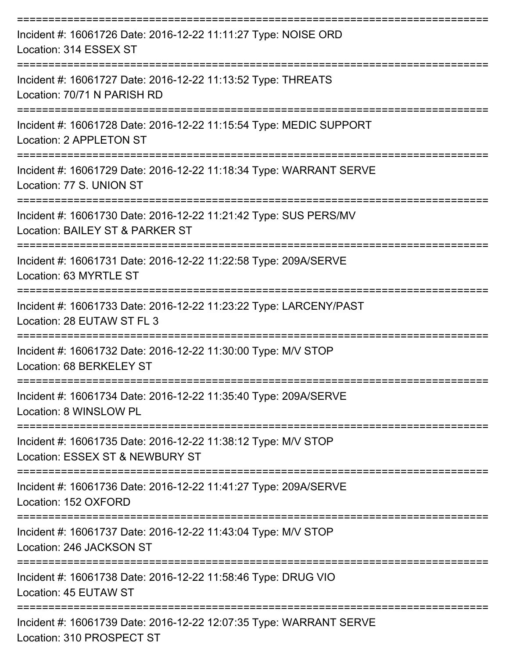| Incident #: 16061726 Date: 2016-12-22 11:11:27 Type: NOISE ORD<br>Location: 314 ESSEX ST            |
|-----------------------------------------------------------------------------------------------------|
| Incident #: 16061727 Date: 2016-12-22 11:13:52 Type: THREATS<br>Location: 70/71 N PARISH RD         |
| Incident #: 16061728 Date: 2016-12-22 11:15:54 Type: MEDIC SUPPORT<br>Location: 2 APPLETON ST       |
| Incident #: 16061729 Date: 2016-12-22 11:18:34 Type: WARRANT SERVE<br>Location: 77 S. UNION ST      |
| Incident #: 16061730 Date: 2016-12-22 11:21:42 Type: SUS PERS/MV<br>Location: BAILEY ST & PARKER ST |
| Incident #: 16061731 Date: 2016-12-22 11:22:58 Type: 209A/SERVE<br>Location: 63 MYRTLE ST           |
| Incident #: 16061733 Date: 2016-12-22 11:23:22 Type: LARCENY/PAST<br>Location: 28 EUTAW ST FL 3     |
| Incident #: 16061732 Date: 2016-12-22 11:30:00 Type: M/V STOP<br>Location: 68 BERKELEY ST           |
| Incident #: 16061734 Date: 2016-12-22 11:35:40 Type: 209A/SERVE<br>Location: 8 WINSLOW PL           |
| Incident #: 16061735 Date: 2016-12-22 11:38:12 Type: M/V STOP<br>Location: ESSEX ST & NEWBURY ST    |
| Incident #: 16061736 Date: 2016-12-22 11:41:27 Type: 209A/SERVE<br>Location: 152 OXFORD             |
| Incident #: 16061737 Date: 2016-12-22 11:43:04 Type: M/V STOP<br>Location: 246 JACKSON ST           |
| Incident #: 16061738 Date: 2016-12-22 11:58:46 Type: DRUG VIO<br>Location: 45 EUTAW ST              |
| Incident #: 16061739 Date: 2016-12-22 12:07:35 Type: WARRANT SERVE<br>Location: 310 PROSPECT ST     |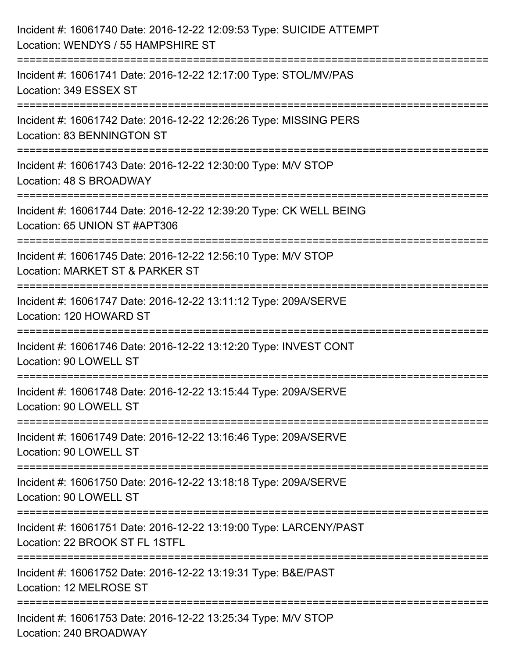| Incident #: 16061740 Date: 2016-12-22 12:09:53 Type: SUICIDE ATTEMPT<br>Location: WENDYS / 55 HAMPSHIRE ST                                                        |
|-------------------------------------------------------------------------------------------------------------------------------------------------------------------|
| Incident #: 16061741 Date: 2016-12-22 12:17:00 Type: STOL/MV/PAS<br>Location: 349 ESSEX ST                                                                        |
| Incident #: 16061742 Date: 2016-12-22 12:26:26 Type: MISSING PERS<br>Location: 83 BENNINGTON ST                                                                   |
| ;==================================<br>Incident #: 16061743 Date: 2016-12-22 12:30:00 Type: M/V STOP<br>Location: 48 S BROADWAY                                   |
| Incident #: 16061744 Date: 2016-12-22 12:39:20 Type: CK WELL BEING<br>Location: 65 UNION ST #APT306                                                               |
| Incident #: 16061745 Date: 2016-12-22 12:56:10 Type: M/V STOP<br>Location: MARKET ST & PARKER ST                                                                  |
| :=========================<br>=====================================<br>Incident #: 16061747 Date: 2016-12-22 13:11:12 Type: 209A/SERVE<br>Location: 120 HOWARD ST |
| Incident #: 16061746 Date: 2016-12-22 13:12:20 Type: INVEST CONT<br>Location: 90 LOWELL ST                                                                        |
| Incident #: 16061748 Date: 2016-12-22 13:15:44 Type: 209A/SERVE<br>Location: 90 LOWELL ST                                                                         |
| Incident #: 16061749 Date: 2016-12-22 13:16:46 Type: 209A/SERVE<br>Location: 90 LOWELL ST                                                                         |
| Incident #: 16061750 Date: 2016-12-22 13:18:18 Type: 209A/SERVE<br>Location: 90 LOWELL ST                                                                         |
| Incident #: 16061751 Date: 2016-12-22 13:19:00 Type: LARCENY/PAST<br>Location: 22 BROOK ST FL 1STFL                                                               |
| Incident #: 16061752 Date: 2016-12-22 13:19:31 Type: B&E/PAST<br>Location: 12 MELROSE ST                                                                          |
| Incident #: 16061753 Date: 2016-12-22 13:25:34 Type: M/V STOP<br>Location: 240 BROADWAY                                                                           |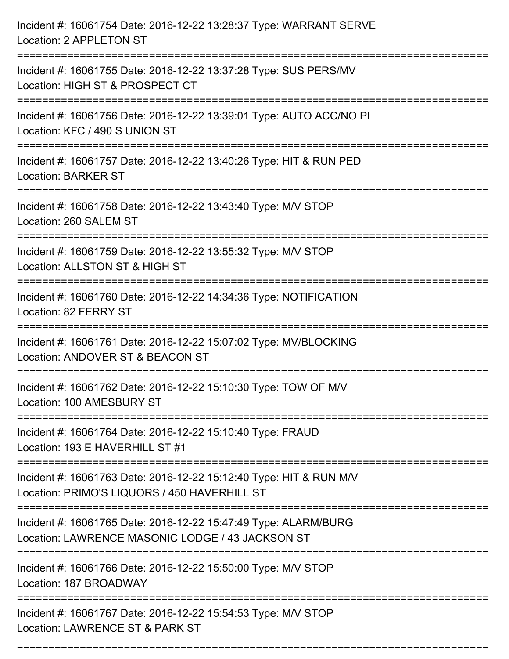| Incident #: 16061754 Date: 2016-12-22 13:28:37 Type: WARRANT SERVE<br>Location: 2 APPLETON ST                                                 |
|-----------------------------------------------------------------------------------------------------------------------------------------------|
| Incident #: 16061755 Date: 2016-12-22 13:37:28 Type: SUS PERS/MV<br>Location: HIGH ST & PROSPECT CT                                           |
| Incident #: 16061756 Date: 2016-12-22 13:39:01 Type: AUTO ACC/NO PI<br>Location: KFC / 490 S UNION ST<br>:=================================== |
| Incident #: 16061757 Date: 2016-12-22 13:40:26 Type: HIT & RUN PED<br><b>Location: BARKER ST</b>                                              |
| Incident #: 16061758 Date: 2016-12-22 13:43:40 Type: M/V STOP<br>Location: 260 SALEM ST                                                       |
| Incident #: 16061759 Date: 2016-12-22 13:55:32 Type: M/V STOP<br>Location: ALLSTON ST & HIGH ST                                               |
| Incident #: 16061760 Date: 2016-12-22 14:34:36 Type: NOTIFICATION<br>Location: 82 FERRY ST                                                    |
| Incident #: 16061761 Date: 2016-12-22 15:07:02 Type: MV/BLOCKING<br>Location: ANDOVER ST & BEACON ST                                          |
| Incident #: 16061762 Date: 2016-12-22 15:10:30 Type: TOW OF M/V<br>Location: 100 AMESBURY ST                                                  |
| Incident #: 16061764 Date: 2016-12-22 15:10:40 Type: FRAUD<br>Location: 193 E HAVERHILL ST #1                                                 |
| Incident #: 16061763 Date: 2016-12-22 15:12:40 Type: HIT & RUN M/V<br>Location: PRIMO'S LIQUORS / 450 HAVERHILL ST                            |
| Incident #: 16061765 Date: 2016-12-22 15:47:49 Type: ALARM/BURG<br>Location: LAWRENCE MASONIC LODGE / 43 JACKSON ST                           |
| Incident #: 16061766 Date: 2016-12-22 15:50:00 Type: M/V STOP<br>Location: 187 BROADWAY                                                       |
| Incident #: 16061767 Date: 2016-12-22 15:54:53 Type: M/V STOP<br>Location: LAWRENCE ST & PARK ST                                              |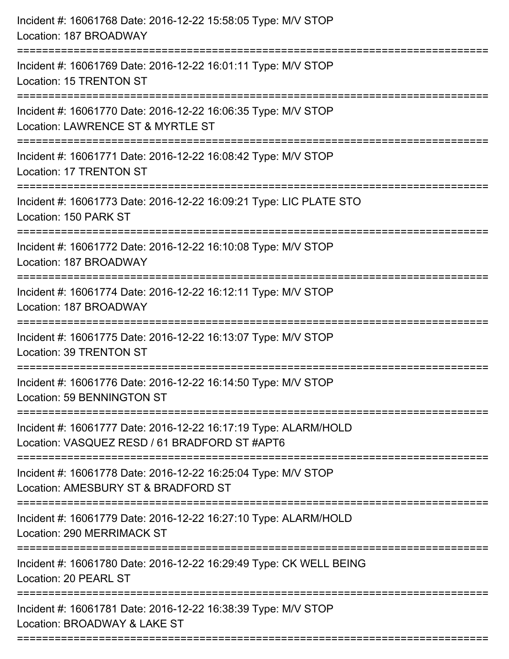| Incident #: 16061768 Date: 2016-12-22 15:58:05 Type: M/V STOP<br>Location: 187 BROADWAY                          |
|------------------------------------------------------------------------------------------------------------------|
| Incident #: 16061769 Date: 2016-12-22 16:01:11 Type: M/V STOP<br>Location: 15 TRENTON ST                         |
| Incident #: 16061770 Date: 2016-12-22 16:06:35 Type: M/V STOP<br>Location: LAWRENCE ST & MYRTLE ST               |
| Incident #: 16061771 Date: 2016-12-22 16:08:42 Type: M/V STOP<br>Location: 17 TRENTON ST                         |
| Incident #: 16061773 Date: 2016-12-22 16:09:21 Type: LIC PLATE STO<br>Location: 150 PARK ST                      |
| Incident #: 16061772 Date: 2016-12-22 16:10:08 Type: M/V STOP<br>Location: 187 BROADWAY                          |
| Incident #: 16061774 Date: 2016-12-22 16:12:11 Type: M/V STOP<br>Location: 187 BROADWAY                          |
| Incident #: 16061775 Date: 2016-12-22 16:13:07 Type: M/V STOP<br>Location: 39 TRENTON ST                         |
| Incident #: 16061776 Date: 2016-12-22 16:14:50 Type: M/V STOP<br>Location: 59 BENNINGTON ST                      |
| Incident #: 16061777 Date: 2016-12-22 16:17:19 Type: ALARM/HOLD<br>Location: VASQUEZ RESD / 61 BRADFORD ST #APT6 |
| Incident #: 16061778 Date: 2016-12-22 16:25:04 Type: M/V STOP<br>Location: AMESBURY ST & BRADFORD ST             |
| Incident #: 16061779 Date: 2016-12-22 16:27:10 Type: ALARM/HOLD<br>Location: 290 MERRIMACK ST                    |
| Incident #: 16061780 Date: 2016-12-22 16:29:49 Type: CK WELL BEING<br>Location: 20 PEARL ST                      |
| Incident #: 16061781 Date: 2016-12-22 16:38:39 Type: M/V STOP<br>Location: BROADWAY & LAKE ST                    |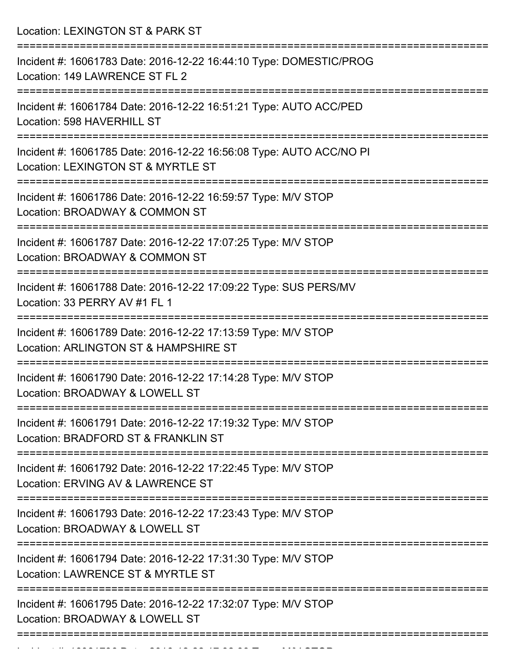Location: LEXINGTON ST & PARK ST

| Incident #: 16061783 Date: 2016-12-22 16:44:10 Type: DOMESTIC/PROG<br>Location: 149 LAWRENCE ST FL 2      |
|-----------------------------------------------------------------------------------------------------------|
| Incident #: 16061784 Date: 2016-12-22 16:51:21 Type: AUTO ACC/PED<br>Location: 598 HAVERHILL ST           |
| Incident #: 16061785 Date: 2016-12-22 16:56:08 Type: AUTO ACC/NO PI<br>Location: LEXINGTON ST & MYRTLE ST |
| Incident #: 16061786 Date: 2016-12-22 16:59:57 Type: M/V STOP<br>Location: BROADWAY & COMMON ST           |
| Incident #: 16061787 Date: 2016-12-22 17:07:25 Type: M/V STOP<br>Location: BROADWAY & COMMON ST           |
| Incident #: 16061788 Date: 2016-12-22 17:09:22 Type: SUS PERS/MV<br>Location: 33 PERRY AV #1 FL 1         |
| Incident #: 16061789 Date: 2016-12-22 17:13:59 Type: M/V STOP<br>Location: ARLINGTON ST & HAMPSHIRE ST    |
| Incident #: 16061790 Date: 2016-12-22 17:14:28 Type: M/V STOP<br>Location: BROADWAY & LOWELL ST           |
| Incident #: 16061791 Date: 2016-12-22 17:19:32 Type: M/V STOP<br>Location: BRADFORD ST & FRANKLIN ST      |
| Incident #: 16061792 Date: 2016-12-22 17:22:45 Type: M/V STOP<br>Location: ERVING AV & LAWRENCE ST        |
| Incident #: 16061793 Date: 2016-12-22 17:23:43 Type: M/V STOP<br>Location: BROADWAY & LOWELL ST           |
| Incident #: 16061794 Date: 2016-12-22 17:31:30 Type: M/V STOP<br>Location: LAWRENCE ST & MYRTLE ST        |
| Incident #: 16061795 Date: 2016-12-22 17:32:07 Type: M/V STOP<br>Location: BROADWAY & LOWELL ST           |
|                                                                                                           |

Incident #: 16061796 Date: 2016 12 22 17:32:33 Type: M/V STOP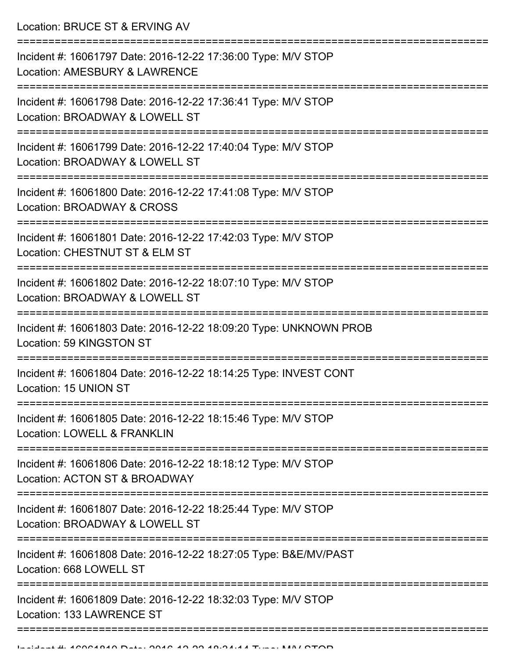Location: BRUCE ST & ERVING AV

| Incident #: 16061797 Date: 2016-12-22 17:36:00 Type: M/V STOP<br>Location: AMESBURY & LAWRENCE  |
|-------------------------------------------------------------------------------------------------|
| Incident #: 16061798 Date: 2016-12-22 17:36:41 Type: M/V STOP<br>Location: BROADWAY & LOWELL ST |
| Incident #: 16061799 Date: 2016-12-22 17:40:04 Type: M/V STOP<br>Location: BROADWAY & LOWELL ST |
| Incident #: 16061800 Date: 2016-12-22 17:41:08 Type: M/V STOP<br>Location: BROADWAY & CROSS     |
| Incident #: 16061801 Date: 2016-12-22 17:42:03 Type: M/V STOP<br>Location: CHESTNUT ST & ELM ST |
| Incident #: 16061802 Date: 2016-12-22 18:07:10 Type: M/V STOP<br>Location: BROADWAY & LOWELL ST |
| Incident #: 16061803 Date: 2016-12-22 18:09:20 Type: UNKNOWN PROB<br>Location: 59 KINGSTON ST   |
| Incident #: 16061804 Date: 2016-12-22 18:14:25 Type: INVEST CONT<br>Location: 15 UNION ST       |
| Incident #: 16061805 Date: 2016-12-22 18:15:46 Type: M/V STOP<br>Location: LOWELL & FRANKLIN    |
| Incident #: 16061806 Date: 2016-12-22 18:18:12 Type: M/V STOP<br>Location: ACTON ST & BROADWAY  |
| Incident #: 16061807 Date: 2016-12-22 18:25:44 Type: M/V STOP<br>Location: BROADWAY & LOWELL ST |
| Incident #: 16061808 Date: 2016-12-22 18:27:05 Type: B&E/MV/PAST<br>Location: 668 LOWELL ST     |
| Incident #: 16061809 Date: 2016-12-22 18:32:03 Type: M/V STOP<br>Location: 133 LAWRENCE ST      |
|                                                                                                 |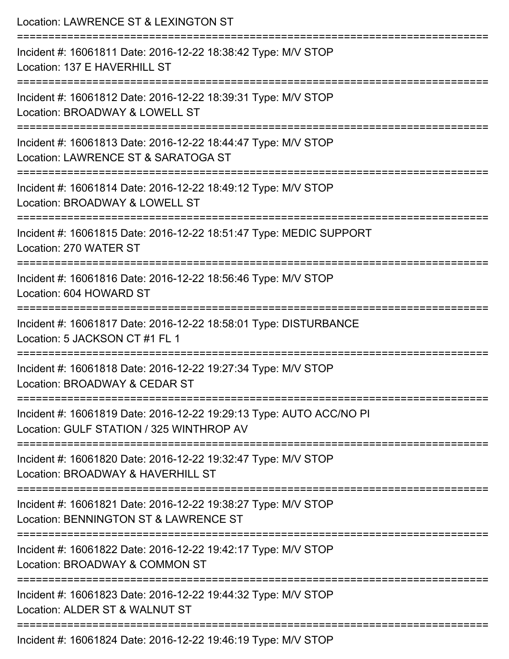| Location: LAWRENCE ST & LEXINGTON ST<br>===================<br>===============================                  |
|-----------------------------------------------------------------------------------------------------------------|
| Incident #: 16061811 Date: 2016-12-22 18:38:42 Type: M/V STOP<br>Location: 137 E HAVERHILL ST                   |
| Incident #: 16061812 Date: 2016-12-22 18:39:31 Type: M/V STOP<br>Location: BROADWAY & LOWELL ST                 |
| Incident #: 16061813 Date: 2016-12-22 18:44:47 Type: M/V STOP<br>Location: LAWRENCE ST & SARATOGA ST            |
| Incident #: 16061814 Date: 2016-12-22 18:49:12 Type: M/V STOP<br>Location: BROADWAY & LOWELL ST                 |
| Incident #: 16061815 Date: 2016-12-22 18:51:47 Type: MEDIC SUPPORT<br>Location: 270 WATER ST                    |
| Incident #: 16061816 Date: 2016-12-22 18:56:46 Type: M/V STOP<br>Location: 604 HOWARD ST                        |
| Incident #: 16061817 Date: 2016-12-22 18:58:01 Type: DISTURBANCE<br>Location: 5 JACKSON CT #1 FL 1              |
| Incident #: 16061818 Date: 2016-12-22 19:27:34 Type: M/V STOP<br>Location: BROADWAY & CEDAR ST                  |
| Incident #: 16061819 Date: 2016-12-22 19:29:13 Type: AUTO ACC/NO PI<br>Location: GULF STATION / 325 WINTHROP AV |
| Incident #: 16061820 Date: 2016-12-22 19:32:47 Type: M/V STOP<br>Location: BROADWAY & HAVERHILL ST              |
| Incident #: 16061821 Date: 2016-12-22 19:38:27 Type: M/V STOP<br>Location: BENNINGTON ST & LAWRENCE ST          |
| Incident #: 16061822 Date: 2016-12-22 19:42:17 Type: M/V STOP<br>Location: BROADWAY & COMMON ST                 |
| Incident #: 16061823 Date: 2016-12-22 19:44:32 Type: M/V STOP<br>Location: ALDER ST & WALNUT ST                 |
| Incident #: 16061824 Date: 2016-12-22 19:46:19 Type: M/V STOP                                                   |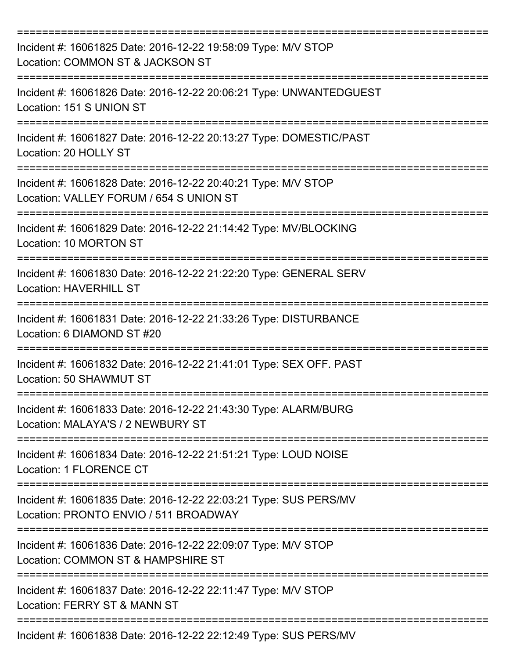| Incident #: 16061825 Date: 2016-12-22 19:58:09 Type: M/V STOP<br>Location: COMMON ST & JACKSON ST         |
|-----------------------------------------------------------------------------------------------------------|
| Incident #: 16061826 Date: 2016-12-22 20:06:21 Type: UNWANTEDGUEST<br>Location: 151 S UNION ST            |
| Incident #: 16061827 Date: 2016-12-22 20:13:27 Type: DOMESTIC/PAST<br>Location: 20 HOLLY ST               |
| Incident #: 16061828 Date: 2016-12-22 20:40:21 Type: M/V STOP<br>Location: VALLEY FORUM / 654 S UNION ST  |
| Incident #: 16061829 Date: 2016-12-22 21:14:42 Type: MV/BLOCKING<br>Location: 10 MORTON ST                |
| Incident #: 16061830 Date: 2016-12-22 21:22:20 Type: GENERAL SERV<br><b>Location: HAVERHILL ST</b>        |
| Incident #: 16061831 Date: 2016-12-22 21:33:26 Type: DISTURBANCE<br>Location: 6 DIAMOND ST #20            |
| Incident #: 16061832 Date: 2016-12-22 21:41:01 Type: SEX OFF. PAST<br>Location: 50 SHAWMUT ST             |
| Incident #: 16061833 Date: 2016-12-22 21:43:30 Type: ALARM/BURG<br>Location: MALAYA'S / 2 NEWBURY ST      |
| Incident #: 16061834 Date: 2016-12-22 21:51:21 Type: LOUD NOISE<br>Location: 1 FLORENCE CT                |
| Incident #: 16061835 Date: 2016-12-22 22:03:21 Type: SUS PERS/MV<br>Location: PRONTO ENVIO / 511 BROADWAY |
| Incident #: 16061836 Date: 2016-12-22 22:09:07 Type: M/V STOP<br>Location: COMMON ST & HAMPSHIRE ST       |
| Incident #: 16061837 Date: 2016-12-22 22:11:47 Type: M/V STOP<br>Location: FERRY ST & MANN ST             |
| Incident #: 16061838 Date: 2016-12-22 22:12:49 Type: SUS PERS/MV                                          |